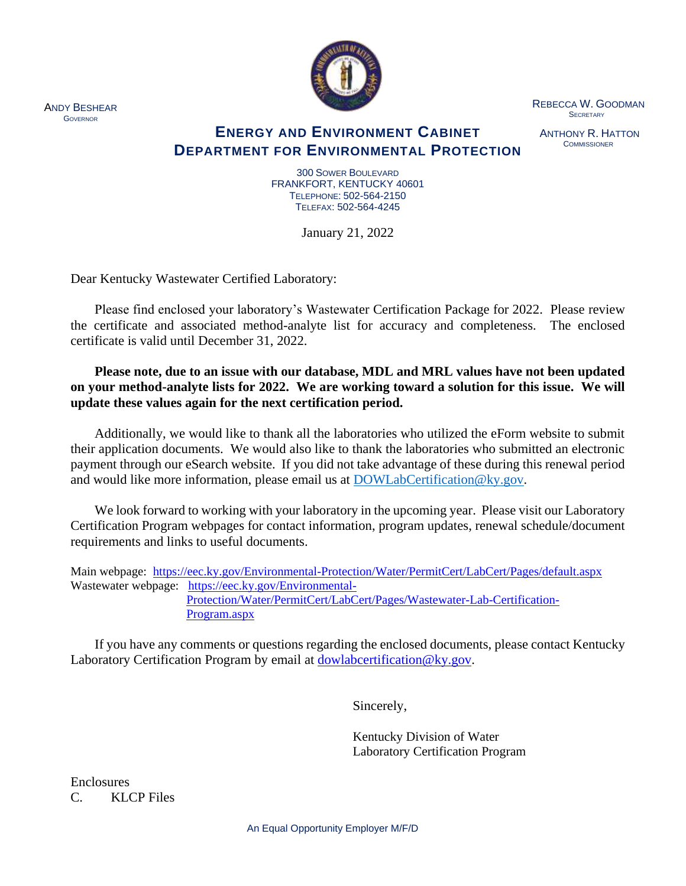

REBECCA W. GOODMAN **SECRETARY** 

**ENERGY AND ENVIRONMENT CABINET DEPARTMENT FOR ENVIRONMENTAL PROTECTION**  ANTHONY R. HATTON **COMMISSIONER** 

300 SOWER BOULEVARD FRANKFORT, KENTUCKY 40601 TELEPHONE: 502-564-2150 TELEFAX: 502-564-4245

January 21, 2022

Dear Kentucky Wastewater Certified Laboratory:

ANDY BESHEAR **GOVERNOR** 

> Please find enclosed your laboratory's Wastewater Certification Package for 2022. Please review the certificate and associated method-analyte list for accuracy and completeness. The enclosed certificate is valid until December 31, 2022.

## **Please note, due to an issue with our database, MDL and MRL values have not been updated on your method-analyte lists for 2022. We are working toward a solution for this issue. We will update these values again for the next certification period.**

Additionally, we would like to thank all the laboratories who utilized the eForm website to submit their application documents. We would also like to thank the laboratories who submitted an electronic payment through our eSearch website. If you did not take advantage of these during this renewal period and would like more information, please email us at [DOWLabCertification@ky.gov.](mailto:DOWLabCertification@ky.gov)

We look forward to working with your laboratory in the upcoming year. Please visit our Laboratory Certification Program webpages for contact information, program updates, renewal schedule/document requirements and links to useful documents.

Main webpage: https://eec.ky.gov/Environmental-Protection/Water/PermitCert/LabCert/Pages/default.aspx Wastewater webpage: https://eec.ky.gov/Environmental-Protection/Water/PermitCert/LabCert/Pages/Wastewater-Lab-Certification-Program.aspx

If you have any comments or questions regarding the enclosed documents, please contact Kentucky Laboratory Certification Program by email at [dowlabcertification@ky.gov.](mailto:dowlabcertification@ky.gov)

Sincerely,

Kentucky Division of Water Laboratory Certification Program

Enclosures C. KLCP Files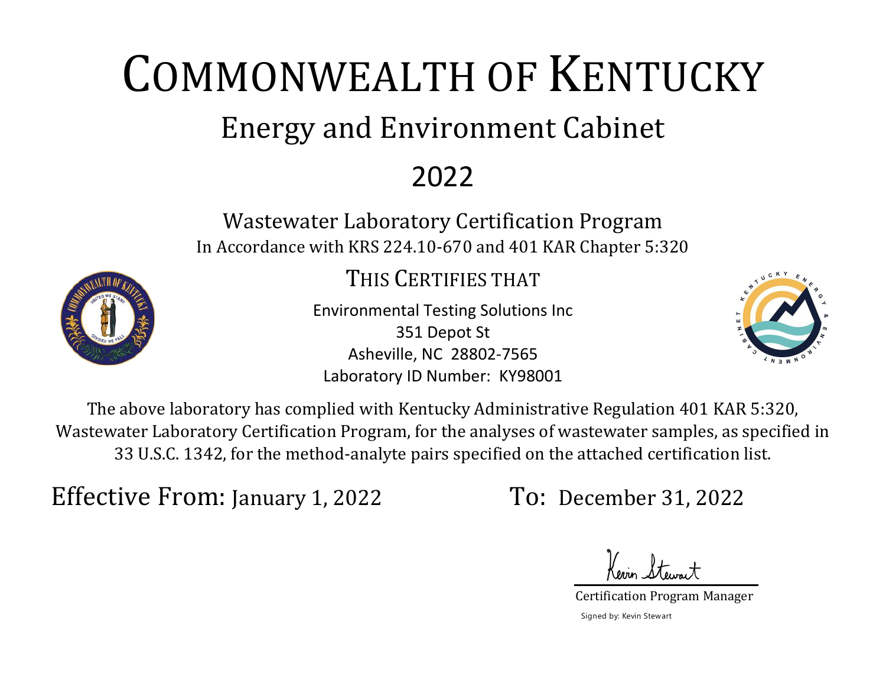## COMMONWEALTH OF KENTUCKY Energy and Environment Cabinet 2022

Wastewater Laboratory Certification Program In Accordance with KRS 224.10-670 and 401 KAR Chapter 5:320



THIS CERTIFIES THAT

Environmental Testing Solutions Inc 351 Depot St Asheville, NC 28802-7565 Laboratory ID Number: KY98001



The above laboratory has complied with Kentucky Administrative Regulation 401 KAR 5:320, Wastewater Laboratory Certification Program, for the analyses of wastewater samples, as specified in 33 U.S.C. 1342, for the method-analyte pairs specified on the attached certification list.

Effective From: January 1, 2022 To: December 31, 2022

Kerrin Stewart

Signed by: Kevin Stewart Certification Program Manager